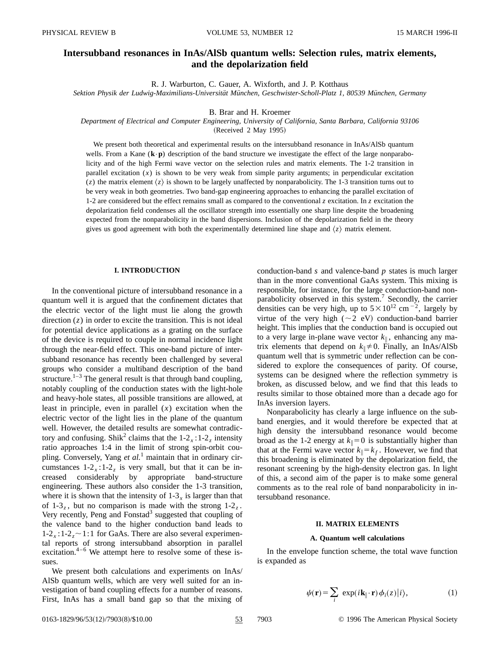# **Intersubband resonances in InAs/AlSb quantum wells: Selection rules, matrix elements, and the depolarization field**

R. J. Warburton, C. Gauer, A. Wixforth, and J. P. Kotthaus

*Sektion Physik der Ludwig-Maximilians-Universita¨t Mu¨nchen, Geschwister-Scholl-Platz 1, 80539 Mu¨nchen, Germany*

B. Brar and H. Kroemer

*Department of Electrical and Computer Engineering, University of California, Santa Barbara, California 93106* (Received 2 May 1995)

We present both theoretical and experimental results on the intersubband resonance in InAs/AlSb quantum wells. From a Kane  $(\mathbf{k} \cdot \mathbf{p})$  description of the band structure we investigate the effect of the large nonparabolicity and of the high Fermi wave vector on the selection rules and matrix elements. The 1-2 transition in parallel excitation  $(x)$  is shown to be very weak from simple parity arguments; in perpendicular excitation (*z*) the matrix element  $\langle z \rangle$  is shown to be largely unaffected by nonparabolicity. The 1-3 transition turns out to be very weak in both geometries. Two band-gap engineering approaches to enhancing the parallel excitation of 1-2 are considered but the effect remains small as compared to the conventional  $z$  excitation. In  $z$  excitation the depolarization field condenses all the oscillator strength into essentially one sharp line despite the broadening expected from the nonparabolicity in the band dispersions. Inclusion of the depolarization field in the theory gives us good agreement with both the experimentally determined line shape and  $\langle z \rangle$  matrix element.

## **I. INTRODUCTION**

In the conventional picture of intersubband resonance in a quantum well it is argued that the confinement dictates that the electric vector of the light must lie along the growth direction (*z*) in order to excite the transition. This is not ideal for potential device applications as a grating on the surface of the device is required to couple in normal incidence light through the near-field effect. This one-band picture of intersubband resonance has recently been challenged by several groups who consider a multiband description of the band structure. $1-3$  The general result is that through band coupling, notably coupling of the conduction states with the light-hole and heavy-hole states, all possible transitions are allowed, at least in principle, even in parallel (*x*) excitation when the electric vector of the light lies in the plane of the quantum well. However, the detailed results are somewhat contradictory and confusing. Shik<sup>2</sup> claims that the  $1-2<sub>x</sub>:1-2<sub>z</sub>$  intensity ratio approaches 1:4 in the limit of strong spin-orbit coupling. Conversely, Yang *et al.*<sup>1</sup> maintain that in ordinary circumstances  $1-2<sub>x</sub>:1-2<sub>z</sub>$  is very small, but that it can be increased considerably by appropriate band-structure engineering. These authors also consider the 1-3 transition, where it is shown that the intensity of  $1-3<sub>x</sub>$  is larger than that of  $1-3<sub>z</sub>$ , but no comparison is made with the strong  $1-2<sub>z</sub>$ . Very recently, Peng and Fonstad<sup>3</sup> suggested that coupling of the valence band to the higher conduction band leads to  $1-2<sub>x</sub>:1-2<sub>z</sub>$  ~ 1:1 for GaAs. There are also several experimental reports of strong intersubband absorption in parallel excitation.<sup>4–6</sup> We attempt here to resolve some of these issues.

We present both calculations and experiments on InAs/ AlSb quantum wells, which are very well suited for an investigation of band coupling effects for a number of reasons. First, InAs has a small band gap so that the mixing of conduction-band *s* and valence-band *p* states is much larger than in the more conventional GaAs system. This mixing is responsible, for instance, for the large conduction-band nonparabolicity observed in this system.<sup>7</sup> Secondly, the carrier densities can be very high, up to  $5 \times 10^{12}$  cm<sup>-2</sup>, largely by virtue of the very high ( $\sim$ 2 eV) conduction-band barrier height. This implies that the conduction band is occupied out to a very large in-plane wave vector  $k_{\parallel}$ , enhancing any matrix elements that depend on  $k_{\parallel} \neq 0$ . Finally, an InAs/AlSb quantum well that is symmetric under reflection can be considered to explore the consequences of parity. Of course, systems can be designed where the reflection symmetry is broken, as discussed below, and we find that this leads to results similar to those obtained more than a decade ago for InAs inversion layers.

Nonparabolicity has clearly a large influence on the subband energies, and it would therefore be expected that at high density the intersubband resonance would become broad as the 1-2 energy at  $k_{\parallel}=0$  is substantially higher than that at the Fermi wave vector  $k_{\parallel} = k_f$ . However, we find that this broadening is eliminated by the depolarization field, the resonant screening by the high-density electron gas. In light of this, a second aim of the paper is to make some general comments as to the real role of band nonparabolicity in intersubband resonance.

#### **II. MATRIX ELEMENTS**

#### **A. Quantum well calculations**

In the envelope function scheme, the total wave function is expanded as

$$
\psi(\mathbf{r}) = \sum_{i} \exp(i\mathbf{k}_{\parallel} \cdot \mathbf{r}) \phi_{i}(z)|i\rangle, \tag{1}
$$

0163-1829/96/53(12)/7903(8)/\$10.00 53 7903 © 1996 The American Physical Society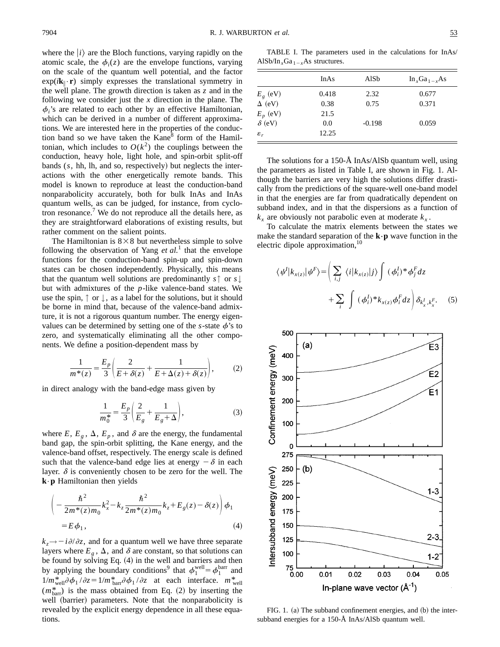where the  $|i\rangle$  are the Bloch functions, varying rapidly on the atomic scale, the  $\phi_i(z)$  are the envelope functions, varying on the scale of the quantum well potential, and the factor  $exp(i\mathbf{k}_{\parallel}\cdot\mathbf{r})$  simply expresses the translational symmetry in the well plane. The growth direction is taken as *z* and in the following we consider just the *x* direction in the plane. The  $\phi$ ,'s are related to each other by an effective Hamiltonian, which can be derived in a number of different approximations. We are interested here in the properties of the conduction band so we have taken the  $Kane^8$  form of the Hamiltonian, which includes to  $O(k^2)$  the couplings between the conduction, heavy hole, light hole, and spin-orbit split-off bands  $(s, hh, lh, and so, respectively)$  but neglects the interactions with the other energetically remote bands. This model is known to reproduce at least the conduction-band nonparabolicity accurately, both for bulk InAs and InAs quantum wells, as can be judged, for instance, from cyclotron resonance.<sup>7</sup> We do not reproduce all the details here, as they are straightforward elaborations of existing results, but rather comment on the salient points.

The Hamiltonian is  $8 \times 8$  but nevertheless simple to solve following the observation of Yang *et al.*<sup>1</sup> that the envelope functions for the conduction-band spin-up and spin-down states can be chosen independently. Physically, this means that the quantum well solutions are predominantly *s*↑ or *s*↓ but with admixtures of the *p*-like valence-band states. We use the spin,  $\uparrow$  or  $\downarrow$ , as a label for the solutions, but it should be borne in mind that, because of the valence-band admixture, it is not a rigorous quantum number. The energy eigenvalues can be determined by setting one of the  $s$ -state  $\phi$ 's to zero, and systematically eliminating all the other components. We define a position-dependent mass by

$$
\frac{1}{m^*(z)} = \frac{E_p}{3} \left( \frac{2}{E + \delta(z)} + \frac{1}{E + \Delta(z) + \delta(z)} \right),\tag{2}
$$

in direct analogy with the band-edge mass given by

$$
\frac{1}{m_0^*} = \frac{E_p}{3} \left( \frac{2}{E_g} + \frac{1}{E_g + \Delta} \right),\tag{3}
$$

where  $E, E_g, \Delta, E_p$ , and  $\delta$  are the energy, the fundamental band gap, the spin-orbit splitting, the Kane energy, and the valence-band offset, respectively. The energy scale is defined such that the valence-band edge lies at energy  $-\delta$  in each layer.  $\delta$  is conveniently chosen to be zero for the well. The **k**•**p** Hamiltonian then yields

$$
\left(-\frac{\hbar^2}{2m^*(z)m_0}k_x^2 - k_z \frac{\hbar^2}{2m^*(z)m_0}k_z + E_g(z) - \delta(z)\right)\phi_1
$$
  
=  $E\phi_1$ , (4)

 $k_z \rightarrow -i \partial/\partial z$ , and for a quantum well we have three separate layers where  $E_g$ ,  $\Delta$ , and  $\delta$  are constant, so that solutions can be found by solving Eq.  $(4)$  in the well and barriers and then by applying the boundary conditions<sup>9</sup> that  $\phi_1^{\text{well}} = \phi_1^{\text{barr}}$  and  $1/m_{\text{well}}^* \partial \phi_1 / \partial z = 1/m_{\text{barr}}^* \partial \phi_1 / \partial z$  at each interface.  $m_{\text{well}}^*$  $(m_{\text{barr}}^*)$  is the mass obtained from Eq. (2) by inserting the well (barrier) parameters. Note that the nonparabolicity is revealed by the explicit energy dependence in all these equations.

TABLE I. The parameters used in the calculations for InAs/ AlSb/In<sub>*x*</sub>Ga<sub>1-*x*</sub>As structures.

|                 | InAs  | AlSb     | $In_xGa_{1-x}As$ |
|-----------------|-------|----------|------------------|
| $E_g$ (eV)      | 0.418 | 2.32     | 0.677            |
| $\Delta$ (eV)   | 0.38  | 0.75     | 0.371            |
| $E_p$ (eV)      | 21.5  |          |                  |
| $\delta$ (eV)   | 0.0   | $-0.198$ | 0.059            |
| $\varepsilon_r$ | 12.25 |          |                  |

The solutions for a 150-Å InAs/AlSb quantum well, using the parameters as listed in Table I, are shown in Fig. 1. Although the barriers are very high the solutions differ drastically from the predictions of the square-well one-band model in that the energies are far from quadratically dependent on subband index, and in that the dispersions as a function of  $k_x$  are obviously not parabolic even at moderate  $k_x$ .

To calculate the matrix elements between the states we make the standard separation of the **k**–**p** wave function in the electric dipole approximation,<sup>10</sup>

$$
\langle \psi^I | k_{x(z)} | \psi^F \rangle = \left( \sum_{i,j} \langle i | k_{x(z)} | j \rangle \int (\phi_i^I)^* \phi_j^F dz + \sum_i \int (\phi_i^I)^* k_{x(z)} \phi_i^F dz \right) \delta_{k_x^I, k_x^F}.
$$
 (5)



FIG. 1. (a) The subband confinement energies, and  $(b)$  the intersubband energies for a 150-Å InAs/AlSb quantum well.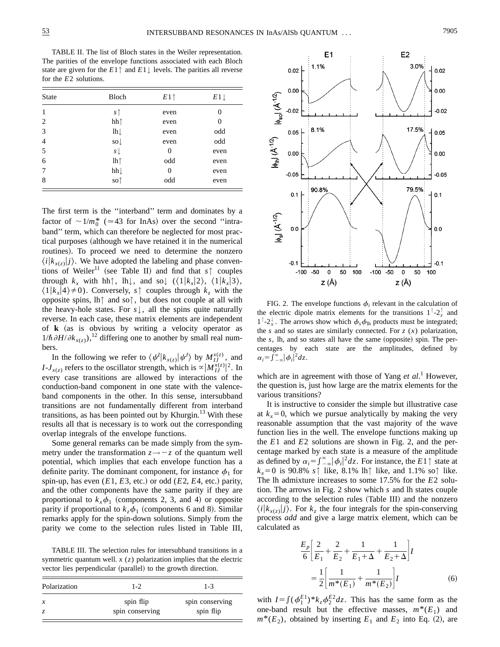TABLE II. The list of Bloch states in the Weiler representation. The parities of the envelope functions associated with each Bloch state are given for the  $E1 \uparrow$  and  $E1 \downarrow$  levels. The parities all reverse for the *E*2 solutions.

| <b>State</b>   | Bloch                   | $E1\uparrow$ | $E1 \perp$ |
|----------------|-------------------------|--------------|------------|
| 1              | $s$ $\uparrow$          | even         | 0          |
| 2              | hh↑                     | even         | 0          |
| 3              | $lh \downarrow$         | even         | odd        |
| $\overline{4}$ | $\mathrm{so}\downarrow$ | even         | odd        |
| 5              | $s \downarrow$          | 0            | even       |
| 6              | lh <sub>↑</sub>         | odd          | even       |
| 7              | hh                      | 0            | even       |
| 8              | so↑                     | odd          | even       |

The first term is the ''interband'' term and dominates by a factor of  $\sim 1/m_0^*$  ( $\approx 43$  for InAs) over the second "intraband'' term, which can therefore be neglected for most practical purposes (although we have retained it in the numerical routines). To proceed we need to determine the nonzero  $\langle i|k_{x(z)}|j\rangle$ . We have adopted the labeling and phase conventions of Weiler<sup>11</sup> (see Table II) and find that  $s \uparrow$  couples through  $k_x$  with hh↑, lh↓, and so↓ ( $\langle 1|k_x|2 \rangle$ ,  $\langle 1|k_x|3 \rangle$ ,  $\langle 1|k_x|4\rangle \neq 0$ ). Conversely, *s*↑ couples through  $k_z$  with the opposite spins, lh↑ and so↑, but does not couple at all with the heavy-hole states. For  $s \downarrow$ , all the spins quite naturally reverse. In each case, these matrix elements are independent of **k** (as is obvious by writing a velocity operator as  $1/\hbar \frac{\partial H}{\partial k_{x(z)}}$ ,<sup>12</sup> differing one to another by small real numbers.

In the following we refer to  $\langle \psi^I | k_{x(z)} | \psi^I \rangle$  by  $M_{IJ}^{x(z)}$ , and *I*-*J<sub>x(z)</sub>* refers to the oscillator strength, which is  $\alpha |M_{IJ}^{x(z)}|^2$ . In every case transitions are allowed by interactions of the conduction-band component in one state with the valenceband components in the other. In this sense, intersubband transitions are not fundamentally different from interband transitions, as has been pointed out by Khurgin.<sup>13</sup> With these results all that is necessary is to work out the corresponding overlap integrals of the envelope functions.

Some general remarks can be made simply from the symmetry under the transformation  $z \rightarrow -z$  of the quantum well potential, which implies that each envelope function has a definite parity. The dominant component, for instance  $\phi_1$  for spin-up, has even  $(E1, E3, \text{ etc.})$  or odd  $(E2, E4, \text{ etc.})$  parity, and the other components have the same parity if they are proportional to  $k_{x}\phi_{1}$  (components 2, 3, and 4) or opposite parity if proportional to  $k_z \phi_1$  (components 6 and 8). Similar remarks apply for the spin-down solutions. Simply from the parity we come to the selection rules listed in Table III,

TABLE III. The selection rules for intersubband transitions in a symmetric quantum well. *x* (*z*) polarization implies that the electric vector lies perpendicular (parallel) to the growth direction.

| $1 - 2$                      | $1 - 3$                      |
|------------------------------|------------------------------|
| spin flip<br>spin conserving | spin conserving<br>spin flip |
|                              |                              |



FIG. 2. The envelope functions  $\phi_i$  relevant in the calculation of the electric dipole matrix elements for the transitions  $1^\dagger$ -2<sup>*z*</sup> and  $1^\top - 2_x^\downarrow$ . The arrows show which  $\phi_s \phi_{\text{lh}}$  products must be integrated; the *s* and so states are similarly connected. For  $z(x)$  polarization, the  $s$ , lh, and so states all have the same (opposite) spin. The percentages by each state are the amplitudes, defined by  $\alpha_i = \int_{-\infty}^{\infty} |\phi_i|^2 dz$ .

which are in agreement with those of Yang *et al*. <sup>1</sup> However, the question is, just how large are the matrix elements for the various transitions?

It is instructive to consider the simple but illustrative case at  $k_x=0$ , which we pursue analytically by making the very reasonable assumption that the vast majority of the wave function lies in the well. The envelope functions making up the *E*1 and *E*2 solutions are shown in Fig. 2, and the percentage marked by each state is a measure of the amplitude as defined by  $\alpha_i = \int_{-\infty}^{\infty} |\phi_i|^2 dz$ . For instance, the *E*1↑ state at  $k_x=0$  is 90.8% *s*↑ like, 8.1% lh↑ like, and 1.1% so↑ like. The lh admixture increases to some 17.5% for the *E*2 solution. The arrows in Fig. 2 show which *s* and lh states couple according to the selection rules (Table III) and the nonzero  $\langle i|k_{x(z)}|j\rangle$ . For  $k_z$  the four integrals for the spin-conserving process *add* and give a large matrix element, which can be calculated as

$$
\frac{E_p}{6} \left[ \frac{2}{E_1} + \frac{2}{E_2} + \frac{1}{E_1 + \Delta} + \frac{1}{E_2 + \Delta} \right] I
$$
  
= 
$$
\frac{1}{2} \left[ \frac{1}{m^*(E_1)} + \frac{1}{m^*(E_2)} \right] I
$$
 (6)

with  $I = \int (\phi_1^{E_1})^* k_z \phi_2^{E_2} dz$ . This has the same form as the one-band result but the effective masses,  $m^*(E_1)$  and  $m^*(E_2)$ , obtained by inserting  $E_1$  and  $E_2$  into Eq. (2), are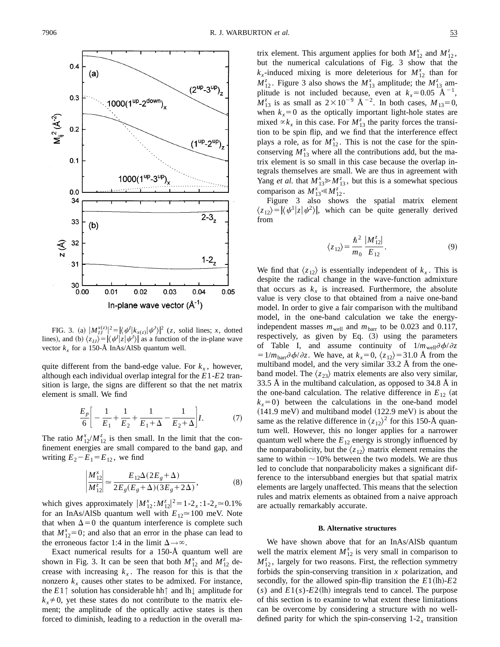

FIG. 3. (a)  $|M_{IJ}^{x(z)}|^2 = |\langle \psi^I | k_{x(z)} | \psi^I \rangle|^2$  (*z*, solid lines; *x*, dotted lines), and (b)  $\langle z_{IJ}\rangle = |\langle \psi^I | z | \psi^J \rangle|$  as a function of the in-plane wave vector  $k_x$  for a 150-Å InAs/AlSb quantum well.

quite different from the band-edge value. For  $k<sub>x</sub>$ , however, although each individual overlap integral for the *E*1-*E*2 transition is large, the signs are different so that the net matrix element is small. We find

$$
\frac{E_p}{6} \bigg[ -\frac{1}{E_1} + \frac{1}{E_2} + \frac{1}{E_1 + \Delta} - \frac{1}{E_2 + \Delta} \bigg] I.
$$
 (7)

The ratio  $M_{12}^x / M_{12}^z$  is then small. In the limit that the confinement energies are small compared to the band gap, and writing  $E_2 - E_1 = E_{12}$ , we find

$$
\left| \frac{M_{12}^x}{M_{12}^z} \right| \simeq \frac{E_{12}\Delta(2E_g + \Delta)}{2E_g(E_g + \Delta)(3E_g + 2\Delta)},
$$
\n(8)

which gives approximately  $|M_{12}^x : M_{12}^z|^2 = 1 - 2_x : 1 - 2_z \approx 0.1\%$ for an InAs/AlSb quantum well with  $E_{12} \approx 100$  meV. Note that when  $\Delta=0$  the quantum interference is complete such that  $M_{12}^x = 0$ ; and also that an error in the phase can lead to the erroneous factor 1:4 in the limit  $\Delta \rightarrow \infty$ .

Exact numerical results for a 150-Å quantum well are shown in Fig. 3. It can be seen that both  $M_{12}^x$  and  $M_{12}^z$  decrease with increasing  $k_x$ . The reason for this is that the nonzero  $k_x$  causes other states to be admixed. For instance, the *E*1↑ solution has considerable hh↑ and lh↓ amplitude for  $k_{x} \neq 0$ , yet these states do not contribute to the matrix element; the amplitude of the optically active states is then forced to diminish, leading to a reduction in the overall ma-

trix element. This argument applies for both  $M_{12}^x$  and  $M_{12}^z$ , but the numerical calculations of Fig. 3 show that the  $k_x$ -induced mixing is more deleterious for  $M_{12}^x$  than for  $M_{12}^z$ . Figure 3 also shows the  $M_{13}^x$  amplitude; the  $M_{13}^z$  amplitude is not included because, even at  $k_x=0.05 \text{ A}^{-1}$ ,  $M_{13}^z$  is as small as  $2 \times 10^{-9}$  Å<sup>-2</sup>. In both cases,  $M_{13}=0$ , when  $k_x=0$  as the optically important light-hole states are mixed  $\alpha k_x$  in this case. For  $M_{13}^z$  the parity forces the transition to be spin flip, and we find that the interference effect plays a role, as for  $M_{12}^x$ . This is not the case for the spinconserving  $M_{13}^x$  where all the contributions add, but the matrix element is so small in this case because the overlap integrals themselves are small. We are thus in agreement with Yang *et al.* that  $M_{13}^x \gg M_{13}^z$ , but this is a somewhat specious comparison as  $M_{13}^x \le M_{12}^z$ .

Figure 3 also shows the spatial matrix element  $\langle z_{12}\rangle = |\langle \psi^1 | z | \psi^2 \rangle|$ , which can be quite generally derived from

$$
\langle z_{12} \rangle = \frac{\hbar^2}{m_0} \frac{|M_{12}^z|}{E_{12}}.
$$
 (9)

We find that  $\langle z_{12} \rangle$  is essentially independent of  $k_x$ . This is despite the radical change in the wave-function admixture that occurs as  $k_x$  is increased. Furthermore, the absolute value is very close to that obtained from a naive one-band model. In order to give a fair comparison with the multiband model, in the one-band calculation we take the energyindependent masses  $m_{\text{well}}$  and  $m_{\text{barr}}$  to be 0.023 and 0.117, respectively, as given by Eq.  $(3)$  using the parameters of Table I, and assume continuity of  $1/m_{well} \partial \phi / \partial z$  $=1/m_{\text{barr}}\partial \phi / \partial z$ . We have, at  $k_x=0$ ,  $\langle z_{12} \rangle =31.0$  Å from the multiband model, and the very similar 33.2 Å from the oneband model. The  $\langle z_{23} \rangle$  matrix elements are also very similar, 33.5 Å in the multiband calculation, as opposed to 34.8 Å in the one-band calculation. The relative difference in  $E_{12}$  (at  $k_x=0$ ) between the calculations in the one-band model  $(141.9 \text{ meV})$  and multiband model  $(122.9 \text{ meV})$  is about the same as the relative difference in  $\langle z_{12} \rangle^2$  for this 150-Å quantum well. However, this no longer applies for a narrower quantum well where the  $E_{12}$  energy is strongly influenced by the nonparabolicity, but the  $\langle z_1 \rangle$  matrix element remains the same to within  $\sim$  10% between the two models. We are thus led to conclude that nonparabolicity makes a significant difference to the intersubband energies but that spatial matrix elements are largely unaffected. This means that the selection rules and matrix elements as obtained from a naive approach are actually remarkably accurate.

#### **B. Alternative structures**

We have shown above that for an InAs/AlSb quantum well the matrix element  $M_{12}^x$  is very small in comparison to  $M_{12}^z$ , largely for two reasons. First, the reflection symmetry forbids the spin-conserving transition in *x* polarization, and secondly, for the allowed spin-flip transition the  $E1(lh)$ - $E2$  $(s)$  and  $E1(s)$ - $E2$ (lh) integrals tend to cancel. The purpose of this section is to examine to what extent these limitations can be overcome by considering a structure with no welldefined parity for which the spin-conserving  $1-2<sub>x</sub>$  transition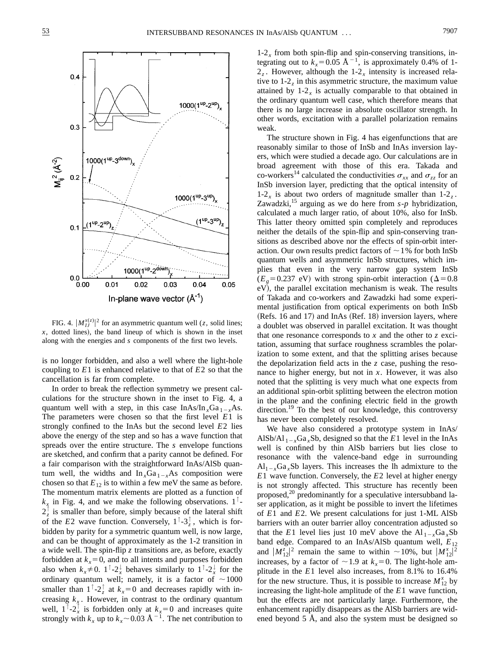

FIG. 4.  $|M_{IJ}^{x(z)}|^2$  for an asymmetric quantum well (*z*, solid lines;  $x$ , dotted lines), the band lineup of which is shown in the inset along with the energies and *s* components of the first two levels.

is no longer forbidden, and also a well where the light-hole coupling to *E*1 is enhanced relative to that of *E*2 so that the cancellation is far from complete.

In order to break the reflection symmetry we present calculations for the structure shown in the inset to Fig. 4, a quantum well with a step, in this case  $InAs/In<sub>x</sub>Ga<sub>1-x</sub>As.$ The parameters were chosen so that the first level *E*1 is strongly confined to the InAs but the second level *E*2 lies above the energy of the step and so has a wave function that spreads over the entire structure. The *s* envelope functions are sketched, and confirm that a parity cannot be defined. For a fair comparison with the straightforward InAs/AlSb quantum well, the widths and  $\ln_{x}Ga_{1-x}As$  composition were chosen so that  $E_{12}$  is to within a few meV the same as before. The momentum matrix elements are plotted as a function of  $k_x$  in Fig. 4, and we make the following observations.  $1^{\uparrow}$ - $2\frac{1}{z}$  is smaller than before, simply because of the lateral shift of the *E*2 wave function. Conversely,  $1^\top - 3^\top_z$ , which is forbidden by parity for a symmetric quantum well, is now large, and can be thought of approximately as the 1-2 transition in a wide well. The spin-flip *z* transitions are, as before, exactly forbidden at  $k_x=0$ , and to all intents and purposes forbidden also when  $k_x \neq 0$ .  $1^\top - 2_x^\top$  behaves similarly to  $1^\top - 2_x^\top$  for the ordinary quantum well; namely, it is a factor of  $\sim$ 1000 smaller than  $1^\top - 2^\top_z$  at  $k_x = 0$  and decreases rapidly with increasing  $k_x$ . However, in contrast to the ordinary quantum well,  $1^\top - 2^\top x$  is forbidden only at  $k_x = 0$  and increases quite strongly with  $k_x$  up to  $k_x \sim 0.03 \text{ Å}^{-1}$ . The net contribution to  $1-2<sub>x</sub>$  from both spin-flip and spin-conserving transitions, integrating out to  $k_x=0.05 \text{ Å}^{-1}$ , is approximately 0.4% of 1- $2<sub>z</sub>$ . However, although the 1-2<sub>x</sub> intensity is increased relative to 1-2*<sup>z</sup>* in this asymmetric structure, the maximum value attained by  $1-2<sub>x</sub>$  is actually comparable to that obtained in the ordinary quantum well case, which therefore means that there is no large increase in absolute oscillator strength. In other words, excitation with a parallel polarization remains weak.

The structure shown in Fig. 4 has eigenfunctions that are reasonably similar to those of InSb and InAs inversion layers, which were studied a decade ago. Our calculations are in broad agreement with those of this era. Takada and co-workers<sup>14</sup> calculated the conductivities  $\sigma_{xx}$  and  $\sigma_{zz}$  for an InSb inversion layer, predicting that the optical intensity of 1-2 $<sub>x</sub>$  is about two orders of magnitude smaller than 1-2 $<sub>z</sub>$ .</sub></sub> Zawadzki,<sup>15</sup> arguing as we do here from  $s-p$  hybridization, calculated a much larger ratio, of about 10%, also for InSb. This latter theory omitted spin completely and reproduces neither the details of the spin-flip and spin-conserving transitions as described above nor the effects of spin-orbit interaction. Our own results predict factors of  $\sim$  1% for both InSb quantum wells and asymmetric InSb structures, which implies that even in the very narrow gap system InSb  $(E_g=0.237 \text{ eV})$  with strong spin-orbit interaction ( $\Delta=0.8$ ) eV), the parallel excitation mechanism is weak. The results of Takada and co-workers and Zawadzki had some experimental justification from optical experiments on both InSb  $(Refs. 16 and 17)$  and InAs  $(Ref. 18)$  inversion layers, where a doublet was observed in parallel excitation. It was thought that one resonance corresponds to *x* and the other to *z* excitation, assuming that surface roughness scrambles the polarization to some extent, and that the splitting arises because the depolarization field acts in the *z* case, pushing the resonance to higher energy, but not in *x*. However, it was also noted that the splitting is very much what one expects from an additional spin-orbit splitting between the electron motion in the plane and the confining electric field in the growth direction.<sup>19</sup> To the best of our knowledge, this controversy has never been completely resolved.

We have also considered a prototype system in InAs/ AlSb/Al  $_{1-x}Ga_xSb$ , designed so that the *E*1 level in the InAs well is confined by thin AlSb barriers but lies close to resonance with the valence-band edge in surrounding  $Al_{1-x}Ga_xSb$  layers. This increases the lh admixture to the *E*1 wave function. Conversely, the *E*2 level at higher energy is not strongly affected. This structure has recently been proposed, $^{20}$  predominantly for a speculative intersubband laser application, as it might be possible to invert the lifetimes of *E*1 and *E*2. We present calculations for just 1-ML AlSb barriers with an outer barrier alloy concentration adjusted so that the *E*1 level lies just 10 meV above the  $Al_{1-x}Ga_xSb$ band edge. Compared to an InAs/AlSb quantum well, *E*<sup>12</sup> and  $|M_{12}^{\overline{z}}|^2$  remain the same to within  $\sim 10\%$ , but  $|M_{12}^{\overline{x}}|^2$ increases, by a factor of  $\sim$  1.9 at  $k_x$ =0. The light-hole amplitude in the *E*1 level also increases, from 8.1% to 16.4% for the new structure. Thus, it is possible to increase  $M_{12}^x$  by increasing the light-hole amplitude of the *E*1 wave function, but the effects are not particularly large. Furthermore, the enhancement rapidly disappears as the AlSb barriers are widened beyond 5 Å, and also the system must be designed so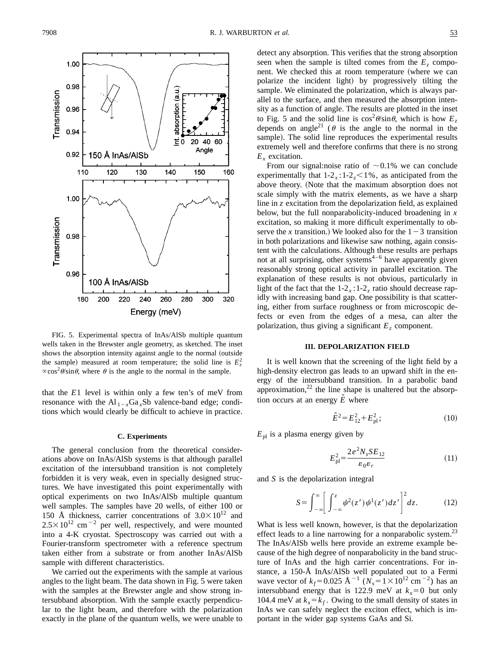

FIG. 5. Experimental spectra of InAs/AlSb multiple quantum wells taken in the Brewster angle geometry, as sketched. The inset shows the absorption intensity against angle to the normal (outside the sample) measured at room temperature; the solid line is  $E_z^2$  $\propto$ cos<sup>2</sup> $\theta$ /sin $\theta$ , where  $\theta$  is the angle to the normal in the sample.

that the *E*1 level is within only a few ten's of meV from resonance with the Al  $_{1-x}Ga_xSb$  valence-band edge; conditions which would clearly be difficult to achieve in practice.

#### **C. Experiments**

The general conclusion from the theoretical considerations above on InAs/AlSb systems is that although parallel excitation of the intersubband transition is not completely forbidden it is very weak, even in specially designed structures. We have investigated this point experimentally with optical experiments on two InAs/AlSb multiple quantum well samples. The samples have 20 wells, of either 100 or 150 Å thickness, carrier concentrations of  $3.0\times10^{12}$  and  $2.5 \times 10^{12}$  cm<sup>-2</sup> per well, respectively, and were mounted into a 4-K cryostat. Spectroscopy was carried out with a Fourier-transform spectrometer with a reference spectrum taken either from a substrate or from another InAs/AlSb sample with different characteristics.

We carried out the experiments with the sample at various angles to the light beam. The data shown in Fig. 5 were taken with the samples at the Brewster angle and show strong intersubband absorption. With the sample exactly perpendicular to the light beam, and therefore with the polarization exactly in the plane of the quantum wells, we were unable to detect any absorption. This verifies that the strong absorption seen when the sample is tilted comes from the  $E<sub>z</sub>$  component. We checked this at room temperature (where we can polarize the incident light) by progressively tilting the sample. We eliminated the polarization, which is always parallel to the surface, and then measured the absorption intensity as a function of angle. The results are plotted in the inset to Fig. 5 and the solid line is  $\cos^2 \theta / \sin \theta$ , which is how  $E_z$ depends on angle<sup>21</sup> ( $\theta$  is the angle to the normal in the sample). The solid line reproduces the experimental results extremely well and therefore confirms that there is no strong *Ex* excitation.

From our signal:noise ratio of  $\sim 0.1\%$  we can conclude experimentally that  $1-2<sub>x</sub>:1-2<sub>z</sub> < 1%$ , as anticipated from the above theory. (Note that the maximum absorption does not scale simply with the matrix elements, as we have a sharp line in *z* excitation from the depolarization field, as explained below, but the full nonparabolicity-induced broadening in *x* excitation, so making it more difficult experimentally to observe the *x* transition.) We looked also for the  $1-3$  transition in both polarizations and likewise saw nothing, again consistent with the calculations. Although these results are perhaps not at all surprising, other systems<sup> $4-6$ </sup> have apparently given reasonably strong optical activity in parallel excitation. The explanation of these results is not obvious, particularly in light of the fact that the  $1-2<sub>x</sub>$ :  $1-2<sub>z</sub>$  ratio should decrease rapidly with increasing band gap. One possibility is that scattering, either from surface roughness or from microscopic defects or even from the edges of a mesa, can alter the polarization, thus giving a significant  $E<sub>z</sub>$  component.

#### **III. DEPOLARIZATION FIELD**

It is well known that the screening of the light field by a high-density electron gas leads to an upward shift in the energy of the intersubband transition. In a parabolic band approximation, $^{22}$  the line shape is unaltered but the absorption occurs at an energy  $\tilde{E}$  where

$$
\tilde{E}^2 = E_{12}^2 + E_{\text{pl}}^2; \tag{10}
$$

 $E_{\text{pl}}$  is a plasma energy given by

$$
E_{\rm pl}^2 = \frac{2e^2 N_s SE_{12}}{\varepsilon_0 \varepsilon_r} \tag{11}
$$

and *S* is the depolarization integral

$$
S = \int_{-\infty}^{\infty} \left[ \int_{-\infty}^{z} \psi^2(z') \psi^1(z') dz' \right]^2 dz.
$$
 (12)

What is less well known, however, is that the depolarization effect leads to a line narrowing for a nonparabolic system.<sup>23</sup> The InAs/AlSb wells here provide an extreme example because of the high degree of nonparabolicity in the band structure of InAs and the high carrier concentrations. For instance, a 150-Å InAs/AlSb well populated out to a Fermi wave vector of  $k_f$ =0.025 Å<sup>-1</sup> ( $N_s$ =1×10<sup>12</sup> cm<sup>-2</sup>) has an intersubband energy that is 122.9 meV at  $k_x=0$  but only 104.4 meV at  $k_x = k_f$ . Owing to the small density of states in InAs we can safely neglect the exciton effect, which is important in the wider gap systems GaAs and Si.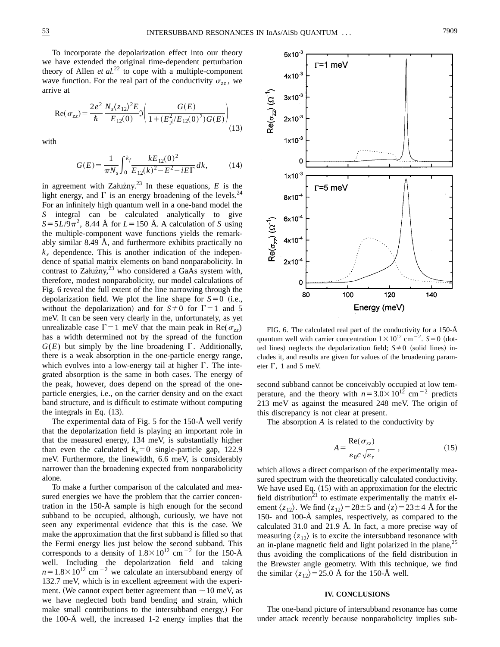To incorporate the depolarization effect into our theory we have extended the original time-dependent perturbation theory of Allen  $et al.<sup>22</sup>$  to cope with a multiple-component wave function. For the real part of the conductivity  $\sigma_{zz}$ , we arrive at

$$
\operatorname{Re}(\sigma_{zz}) = \frac{2e^2}{\hbar} \frac{N_s \langle z_{12} \rangle^2 E}{E_{12}(0)} \Im \left( \frac{G(E)}{1 + (E_{\text{p}}^2 / E_{12}(0)^2) G(E)} \right)
$$
(13)

with

$$
G(E) = \frac{1}{\pi N_s} \int_0^{k_f} \frac{k E_{12}(0)^2}{E_{12}(k)^2 - E^2 - iE\Gamma} dk,
$$
 (14)

in agreement with Załuzny.<sup>23</sup> In these equations,  $E$  is the light energy, and  $\Gamma$  is an energy broadening of the levels.<sup>24</sup> For an infinitely high quantum well in a one-band model the *S* integral can be calculated analytically to give  $S = 5L/9\pi^2$ , 8.44 Å for  $L = 150$  Å. A calculation of *S* using the multiple-component wave functions yields the remarkably similar 8.49 Å, and furthermore exhibits practically no  $k_x$  dependence. This is another indication of the independence of spatial matrix elements on band nonparabolicity. In contrast to Załużny,<sup>23</sup> who considered a GaAs system with, therefore, modest nonparabolicity, our model calculations of Fig. 6 reveal the full extent of the line narrowing through the depolarization field. We plot the line shape for  $S=0$  (i.e., without the depolarization) and for  $S\neq 0$  for  $\Gamma=1$  and 5 meV. It can be seen very clearly in the, unfortunately, as yet unrealizable case  $\Gamma = 1$  meV that the main peak in Re( $\sigma_{zz}$ ) has a width determined not by the spread of the function  $G(E)$  but simply by the line broadening  $\Gamma$ . Additionally, there is a weak absorption in the one-particle energy range, which evolves into a low-energy tail at higher  $\Gamma$ . The integrated absorption is the same in both cases. The energy of the peak, however, does depend on the spread of the oneparticle energies, i.e., on the carrier density and on the exact band structure, and is difficult to estimate without computing the integrals in Eq.  $(13)$ .

The experimental data of Fig. 5 for the 150-Å well verify that the depolarization field is playing an important role in that the measured energy, 134 meV, is substantially higher than even the calculated  $k_x=0$  single-particle gap, 122.9 meV. Furthermore, the linewidth, 6.6 meV, is considerably narrower than the broadening expected from nonparabolicity alone.

To make a further comparison of the calculated and measured energies we have the problem that the carrier concentration in the 150-Å sample is high enough for the second subband to be occupied, although, curiously, we have not seen any experimental evidence that this is the case. We make the approximation that the first subband is filled so that the Fermi energy lies just below the second subband. This corresponds to a density of  $1.8 \times 10^{12}$  cm<sup>-2</sup> for the 150-Å well. Including the depolarization field and taking  $n=1.8\times10^{12}$  cm<sup>-2</sup> we calculate an intersubband energy of 132.7 meV, which is in excellent agreement with the experiment. (We cannot expect better agreement than  $\sim$  10 meV, as we have neglected both band bending and strain, which make small contributions to the intersubband energy.) For the 100-Å well, the increased 1-2 energy implies that the



FIG. 6. The calculated real part of the conductivity for a 150-Å quantum well with carrier concentration  $1 \times 10^{12}$  cm<sup>-2</sup>. *S*=0 (dotted lines) neglects the depolarization field;  $S \neq 0$  (solid lines) includes it, and results are given for values of the broadening parameter  $\Gamma$ , 1 and 5 meV.

second subband cannot be conceivably occupied at low temperature, and the theory with  $n=3.0\times10^{12}$  cm<sup>-2</sup> predicts 213 meV as against the measured 248 meV. The origin of this discrepancy is not clear at present.

The absorption *A* is related to the conductivity by

$$
A = \frac{\text{Re}(\sigma_{zz})}{\varepsilon_0 c \sqrt{\varepsilon_r}}, \qquad (15)
$$

which allows a direct comparison of the experimentally measured spectrum with the theoretically calculated conductivity. We have used Eq.  $(15)$  with an approximation for the electric field distribution<sup>21</sup> to estimate experimentally the matrix element  $\langle z_{12} \rangle$ . We find  $\langle z_{12} \rangle = 28 \pm 5$  and  $\langle z \rangle = 23 \pm 4$  Å for the 150- and 100-Å samples, respectively, as compared to the calculated 31.0 and 21.9 Å. In fact, a more precise way of measuring  $\langle z_{12} \rangle$  is to excite the intersubband resonance with an in-plane magnetic field and light polarized in the plane,  $25$ thus avoiding the complications of the field distribution in the Brewster angle geometry. With this technique, we find the similar  $\langle z_{12} \rangle$ =25.0 Å for the 150-Å well.

## **IV. CONCLUSIONS**

The one-band picture of intersubband resonance has come under attack recently because nonparabolicity implies sub